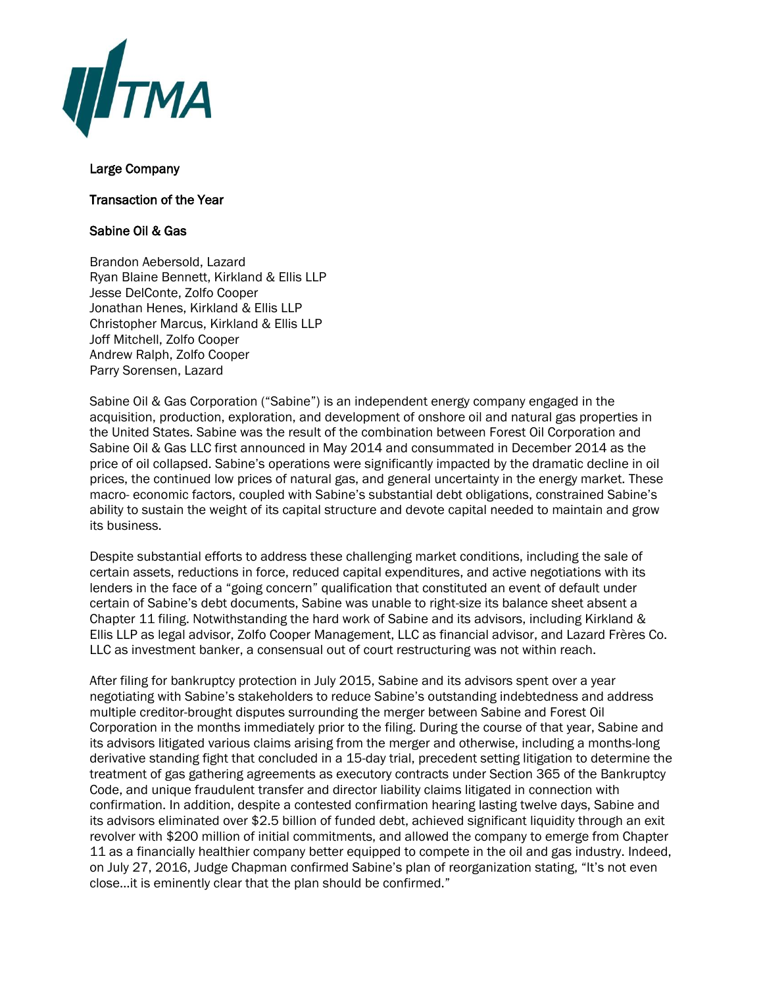

## Large Company

## Transaction of the Year

## Sabine Oil & Gas

Brandon Aebersold, Lazard Ryan Blaine Bennett, Kirkland & Ellis LLP Jesse DelConte, Zolfo Cooper Jonathan Henes, Kirkland & Ellis LLP Christopher Marcus, Kirkland & Ellis LLP Joff Mitchell, Zolfo Cooper Andrew Ralph, Zolfo Cooper Parry Sorensen, Lazard

Sabine Oil & Gas Corporation ("Sabine") is an independent energy company engaged in the acquisition, production, exploration, and development of onshore oil and natural gas properties in the United States. Sabine was the result of the combination between Forest Oil Corporation and Sabine Oil & Gas LLC first announced in May 2014 and consummated in December 2014 as the price of oil collapsed. Sabine's operations were significantly impacted by the dramatic decline in oil prices, the continued low prices of natural gas, and general uncertainty in the energy market. These macro- economic factors, coupled with Sabine's substantial debt obligations, constrained Sabine's ability to sustain the weight of its capital structure and devote capital needed to maintain and grow its business.

Despite substantial efforts to address these challenging market conditions, including the sale of certain assets, reductions in force, reduced capital expenditures, and active negotiations with its lenders in the face of a "going concern" qualification that constituted an event of default under certain of Sabine's debt documents, Sabine was unable to right-size its balance sheet absent a Chapter 11 filing. Notwithstanding the hard work of Sabine and its advisors, including Kirkland & Ellis LLP as legal advisor, Zolfo Cooper Management, LLC as financial advisor, and Lazard Frères Co. LLC as investment banker, a consensual out of court restructuring was not within reach.

After filing for bankruptcy protection in July 2015, Sabine and its advisors spent over a year negotiating with Sabine's stakeholders to reduce Sabine's outstanding indebtedness and address multiple creditor-brought disputes surrounding the merger between Sabine and Forest Oil Corporation in the months immediately prior to the filing. During the course of that year, Sabine and its advisors litigated various claims arising from the merger and otherwise, including a months-long derivative standing fight that concluded in a 15-day trial, precedent setting litigation to determine the treatment of gas gathering agreements as executory contracts under Section 365 of the Bankruptcy Code, and unique fraudulent transfer and director liability claims litigated in connection with confirmation. In addition, despite a contested confirmation hearing lasting twelve days, Sabine and its advisors eliminated over \$2.5 billion of funded debt, achieved significant liquidity through an exit revolver with \$200 million of initial commitments, and allowed the company to emerge from Chapter 11 as a financially healthier company better equipped to compete in the oil and gas industry. Indeed, on July 27, 2016, Judge Chapman confirmed Sabine's plan of reorganization stating, "It's not even close…it is eminently clear that the plan should be confirmed."